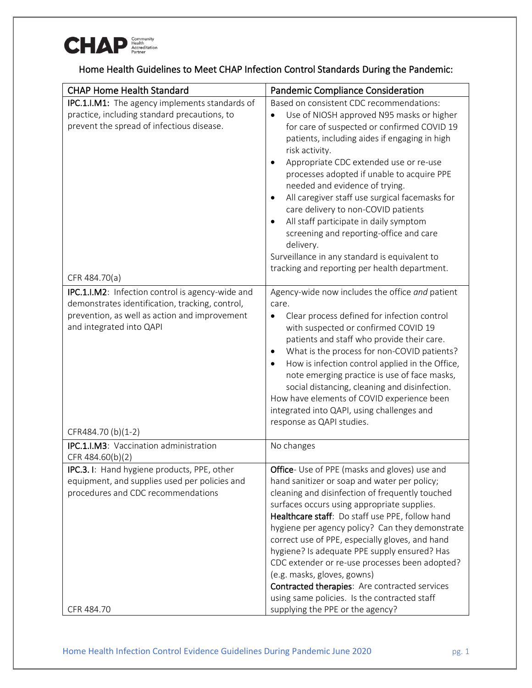

Home Health Guidelines to Meet CHAP Infection Control Standards During the Pandemic:

| <b>CHAP Home Health Standard</b>                                                                                                                                                                       | <b>Pandemic Compliance Consideration</b>                                                                                                                                                                                                                                                                                                                                                                                                                                                                                                                                                        |
|--------------------------------------------------------------------------------------------------------------------------------------------------------------------------------------------------------|-------------------------------------------------------------------------------------------------------------------------------------------------------------------------------------------------------------------------------------------------------------------------------------------------------------------------------------------------------------------------------------------------------------------------------------------------------------------------------------------------------------------------------------------------------------------------------------------------|
| IPC.1.I.M1: The agency implements standards of                                                                                                                                                         | Based on consistent CDC recommendations:                                                                                                                                                                                                                                                                                                                                                                                                                                                                                                                                                        |
| practice, including standard precautions, to<br>prevent the spread of infectious disease.                                                                                                              | Use of NIOSH approved N95 masks or higher<br>for care of suspected or confirmed COVID 19<br>patients, including aides if engaging in high<br>risk activity.<br>Appropriate CDC extended use or re-use<br>processes adopted if unable to acquire PPE<br>needed and evidence of trying.<br>All caregiver staff use surgical facemasks for<br>care delivery to non-COVID patients<br>All staff participate in daily symptom<br>$\bullet$<br>screening and reporting-office and care<br>delivery.<br>Surveillance in any standard is equivalent to<br>tracking and reporting per health department. |
| CFR 484.70(a)                                                                                                                                                                                          |                                                                                                                                                                                                                                                                                                                                                                                                                                                                                                                                                                                                 |
| IPC.1.I.M2: Infection control is agency-wide and<br>demonstrates identification, tracking, control,<br>prevention, as well as action and improvement<br>and integrated into QAPI<br>CFR484.70 (b)(1-2) | Agency-wide now includes the office and patient<br>care.<br>Clear process defined for infection control<br>with suspected or confirmed COVID 19<br>patients and staff who provide their care.<br>What is the process for non-COVID patients?<br>How is infection control applied in the Office,<br>$\bullet$<br>note emerging practice is use of face masks,<br>social distancing, cleaning and disinfection.<br>How have elements of COVID experience been<br>integrated into QAPI, using challenges and<br>response as QAPI studies.                                                          |
| IPC.1.I.M3: Vaccination administration<br>CFR 484.60(b)(2)                                                                                                                                             | No changes                                                                                                                                                                                                                                                                                                                                                                                                                                                                                                                                                                                      |
| <b>IPC.3. I:</b> Hand hygiene products, PPE, other<br>equipment, and supplies used per policies and<br>procedures and CDC recommendations                                                              | Office- Use of PPE (masks and gloves) use and<br>hand sanitizer or soap and water per policy;<br>cleaning and disinfection of frequently touched<br>surfaces occurs using appropriate supplies.<br>Healthcare staff: Do staff use PPE, follow hand<br>hygiene per agency policy? Can they demonstrate<br>correct use of PPE, especially gloves, and hand<br>hygiene? Is adequate PPE supply ensured? Has<br>CDC extender or re-use processes been adopted?<br>(e.g. masks, gloves, gowns)<br>Contracted therapies: Are contracted services<br>using same policies. Is the contracted staff      |
| CFR 484.70                                                                                                                                                                                             | supplying the PPE or the agency?                                                                                                                                                                                                                                                                                                                                                                                                                                                                                                                                                                |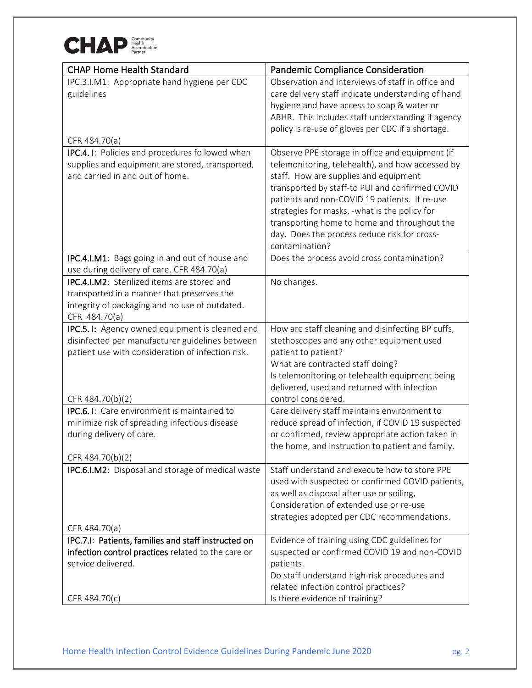

| <b>CHAP Home Health Standard</b>                                                                          | <b>Pandemic Compliance Consideration</b>                                                       |
|-----------------------------------------------------------------------------------------------------------|------------------------------------------------------------------------------------------------|
| IPC.3.I.M1: Appropriate hand hygiene per CDC                                                              | Observation and interviews of staff in office and                                              |
| guidelines                                                                                                | care delivery staff indicate understanding of hand                                             |
|                                                                                                           | hygiene and have access to soap & water or                                                     |
|                                                                                                           | ABHR. This includes staff understanding if agency                                              |
|                                                                                                           | policy is re-use of gloves per CDC if a shortage.                                              |
| CFR 484.70(a)                                                                                             |                                                                                                |
| IPC.4. I: Policies and procedures followed when                                                           | Observe PPE storage in office and equipment (if                                                |
| supplies and equipment are stored, transported,                                                           | telemonitoring, telehealth), and how accessed by                                               |
| and carried in and out of home.                                                                           | staff. How are supplies and equipment                                                          |
|                                                                                                           | transported by staff-to PUI and confirmed COVID                                                |
|                                                                                                           | patients and non-COVID 19 patients. If re-use                                                  |
|                                                                                                           | strategies for masks, -what is the policy for                                                  |
|                                                                                                           | transporting home to home and throughout the<br>day. Does the process reduce risk for cross-   |
|                                                                                                           | contamination?                                                                                 |
| IPC.4.I.M1: Bags going in and out of house and                                                            | Does the process avoid cross contamination?                                                    |
| use during delivery of care. CFR 484.70(a)                                                                |                                                                                                |
| <b>IPC.4.I.M2:</b> Sterilized items are stored and                                                        | No changes.                                                                                    |
| transported in a manner that preserves the                                                                |                                                                                                |
| integrity of packaging and no use of outdated.                                                            |                                                                                                |
| CFR 484.70(a)                                                                                             |                                                                                                |
| IPC.5. I: Agency owned equipment is cleaned and                                                           | How are staff cleaning and disinfecting BP cuffs,                                              |
| disinfected per manufacturer guidelines between                                                           | stethoscopes and any other equipment used                                                      |
| patient use with consideration of infection risk.                                                         | patient to patient?                                                                            |
|                                                                                                           | What are contracted staff doing?<br>Is telemonitoring or telehealth equipment being            |
|                                                                                                           | delivered, used and returned with infection                                                    |
| CFR 484.70(b)(2)                                                                                          | control considered.                                                                            |
| IPC.6. I: Care environment is maintained to                                                               | Care delivery staff maintains environment to                                                   |
| minimize risk of spreading infectious disease                                                             | reduce spread of infection, if COVID 19 suspected                                              |
| during delivery of care.                                                                                  | or confirmed, review appropriate action taken in                                               |
|                                                                                                           | the home, and instruction to patient and family.                                               |
| CFR 484.70(b)(2)                                                                                          |                                                                                                |
| IPC.6.I.M2: Disposal and storage of medical waste                                                         | Staff understand and execute how to store PPE                                                  |
|                                                                                                           | used with suspected or confirmed COVID patients,                                               |
|                                                                                                           | as well as disposal after use or soiling.                                                      |
|                                                                                                           | Consideration of extended use or re-use                                                        |
|                                                                                                           | strategies adopted per CDC recommendations.                                                    |
| CFR 484.70(a)                                                                                             |                                                                                                |
| IPC.7.I: Patients, families and staff instructed on<br>infection control practices related to the care or | Evidence of training using CDC guidelines for<br>suspected or confirmed COVID 19 and non-COVID |
| service delivered.                                                                                        | patients.                                                                                      |
|                                                                                                           | Do staff understand high-risk procedures and                                                   |
|                                                                                                           | related infection control practices?                                                           |
| CFR 484.70(c)                                                                                             | Is there evidence of training?                                                                 |